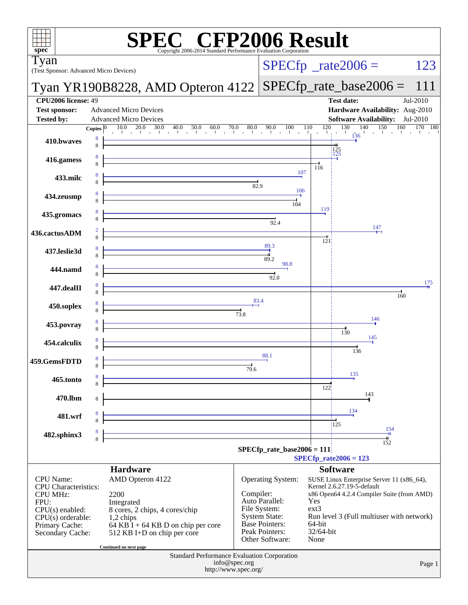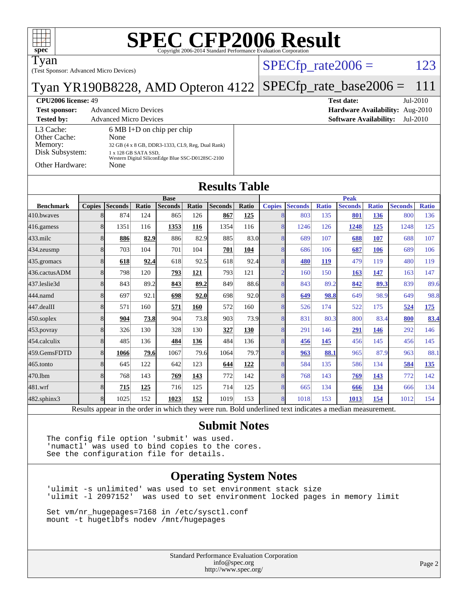| $spec^*$                                  |               |                                                                |                      | <b>SPEC CFP2006 Result</b>                        |       |                      |              |                          |                |              |                               |              |                                             |              |
|-------------------------------------------|---------------|----------------------------------------------------------------|----------------------|---------------------------------------------------|-------|----------------------|--------------|--------------------------|----------------|--------------|-------------------------------|--------------|---------------------------------------------|--------------|
| Tyan                                      |               |                                                                |                      |                                                   |       |                      |              |                          |                |              | $SPECfp\_rate2006 =$          |              |                                             | 123          |
| (Test Sponsor: Advanced Micro Devices)    |               |                                                                |                      |                                                   |       |                      |              |                          |                |              |                               |              |                                             | 111          |
| Tyan YR190B8228, AMD Opteron 4122         |               |                                                                |                      |                                                   |       |                      |              |                          |                |              | $SPECfp_rate\_base2006 =$     |              |                                             |              |
| CPU2006 license: 49                       |               |                                                                |                      |                                                   |       |                      |              |                          |                |              | <b>Test date:</b>             |              |                                             | Jul-2010     |
| <b>Test sponsor:</b><br><b>Tested by:</b> |               | <b>Advanced Micro Devices</b><br><b>Advanced Micro Devices</b> |                      |                                                   |       |                      |              |                          |                |              | <b>Software Availability:</b> |              | Hardware Availability: Aug-2010<br>Jul-2010 |              |
| L3 Cache:                                 |               |                                                                |                      | $6 MB I+D$ on chip per chip                       |       |                      |              |                          |                |              |                               |              |                                             |              |
| Other Cache:                              |               | None                                                           |                      |                                                   |       |                      |              |                          |                |              |                               |              |                                             |              |
| Memory:<br>Disk Subsystem:                |               |                                                                | 1 x 128 GB SATA SSD, | 32 GB (4 x 8 GB, DDR3-1333, CL9, Reg, Dual Rank)  |       |                      |              |                          |                |              |                               |              |                                             |              |
| Other Hardware:                           |               |                                                                |                      | Western Digital SiliconEdge Blue SSC-D0128SC-2100 |       |                      |              |                          |                |              |                               |              |                                             |              |
|                                           |               | None                                                           |                      |                                                   |       |                      |              |                          |                |              |                               |              |                                             |              |
|                                           |               |                                                                |                      |                                                   |       | <b>Results Table</b> |              |                          |                |              |                               |              |                                             |              |
|                                           |               |                                                                |                      | <b>Base</b>                                       |       |                      |              |                          |                |              | <b>Peak</b>                   |              |                                             |              |
| <b>Benchmark</b>                          | <b>Copies</b> | Seconds                                                        | Ratio                | <b>Seconds</b>                                    | Ratio | <b>Seconds</b>       | <b>Ratio</b> | <b>Copies</b>            | <b>Seconds</b> | <b>Ratio</b> | <b>Seconds</b>                | <b>Ratio</b> | <b>Seconds</b>                              | <b>Ratio</b> |
| 410.bwayes                                | 8             | 874                                                            | 124                  | 865                                               | 126   | 867                  | 125          | 8                        | 803            | 135          | 801                           | 136          | 800                                         | 136          |
| 416.gamess                                | 8             | 1351                                                           | 116                  | 1353                                              | 116   | 1354                 | 116          | 8                        | 1246           | 126          | 1248                          | 125          | 1248                                        | 125          |
| $433$ .milc                               | 8             | 886                                                            | 82.9                 | 886                                               | 82.9  | 885                  | 83.0         | 8                        | 689            | 107          | 688                           | 107          | 688                                         | 107          |
| 434.zeusmp                                | 8             | 703                                                            | 104                  | 701                                               | 104   | 701                  | 104          | 8                        | 686            | 106          | 687                           | 106          | 689                                         | 106          |
| 435.gromacs                               | 8             | 618                                                            | 92.4                 | 618                                               | 92.5  | 618                  | 92.4         | 8                        | 480            | <b>119</b>   | 479                           | 119          | 480                                         | 119          |
| 436.cactusADM                             | 8             | 798                                                            | 120                  | 793                                               | 121   | 793                  | 121          | $\overline{\mathcal{L}}$ | 160            | 150          | 163                           | 147          | 163                                         | 147          |
| 437.leslie3d                              | 8             | 843                                                            | 89.2                 | 843                                               | 89.2  | 849                  | 88.6         | 8                        | 843            | 89.2         | 842                           | 89.3         | 839                                         | 89.6         |
| 444.namd                                  | 8             | 697                                                            | 92.1                 | 698                                               | 92.0  | 698                  | 92.0         | 8                        | 649            | 98.8         | 649                           | 98.9         | 649                                         | 98.8         |
| 447.dealII                                | 8             | 571                                                            | 160                  | 571                                               | 160   | 572                  | 160          | 8                        | 526            | 174          | 522                           | 175          | 524                                         | 175          |
| 450.soplex                                | 8             | 904                                                            | 73.8                 | 904                                               | 73.8  | 903                  | 73.9         | 8                        | 831            | 80.3         | 800                           | 83.4         | 800                                         | 83.4         |
| 453.povray                                | 8             | 326                                                            | 130                  | 328                                               | 130   | 327                  | 130          | 8                        | 291            | 146          | 291                           | 146          | 292                                         | 146          |
| 454.calculix                              | 8             | 485                                                            | 136                  | 484                                               | 136   | 484                  | 136          | 8                        | 456            | 145          | 456                           | 145          | 456                                         | 145          |
| 459.GemsFDTD                              | 8             | 1066                                                           | 79.6                 | 1067                                              | 79.6  | 1064                 | 79.7         | 8                        | 963            | 88.1         | 965                           | 87.9         | 963                                         | 88.1         |
| 465.tonto                                 | 8             | 645                                                            | 122                  | 642                                               | 123   | 644                  | 122          | 8                        | 584            | 135          | 586                           | 134          | 584                                         | 135          |
| 470.1bm                                   | 8             | 768                                                            | 143                  | 769                                               | 143   | 772                  | 142          | 8                        | 768            | 143          | 769                           | 143          | 772                                         | 142          |
| 481.wrf                                   | 8             | 715                                                            | 125                  | 716                                               | 125   | 714                  | 125          | 8                        | 665            | 134          | 666                           | 134          | 666                                         | 134          |
| 482.sphinx3                               | 8             | 1025                                                           | 152                  | 1023                                              | 152   | 1019                 | 153          | 8                        | 1018           | 153          | 1013                          | 154          | 1012                                        | 154          |
|                                           |               |                                                                |                      |                                                   |       |                      |              |                          |                |              |                               |              |                                             |              |

Results appear in the [order in which they were run.](http://www.spec.org/auto/cpu2006/Docs/result-fields.html#RunOrder) Bold underlined text [indicates a median measurement.](http://www.spec.org/auto/cpu2006/Docs/result-fields.html#Median)

#### **[Submit Notes](http://www.spec.org/auto/cpu2006/Docs/result-fields.html#SubmitNotes)**

The config file option 'submit' was used. 'numactl' was used to bind copies to the cores. See the configuration file for details.

#### **[Operating System Notes](http://www.spec.org/auto/cpu2006/Docs/result-fields.html#OperatingSystemNotes)**

'ulimit -s unlimited' was used to set environment stack size 'ulimit -l 2097152' was used to set environment locked pages in memory limit

Set vm/nr\_hugepages=7168 in /etc/sysctl.conf mount -t hugetlbfs nodev /mnt/hugepages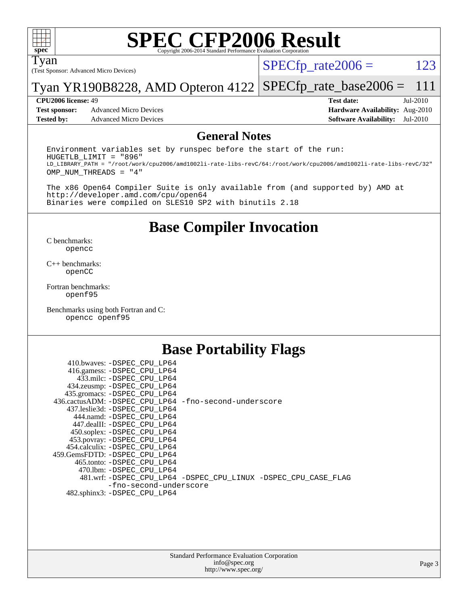

## **[SPEC CFP2006 Result](http://www.spec.org/auto/cpu2006/Docs/result-fields.html#SPECCFP2006Result)**

Tyan

(Test Sponsor: Advanced Micro Devices)

 $SPECTp_rate2006 = 123$ 

Tyan YR190B8228, AMD Opteron 4122 [SPECfp\\_rate\\_base2006 =](http://www.spec.org/auto/cpu2006/Docs/result-fields.html#SPECfpratebase2006) 111

**[Test sponsor:](http://www.spec.org/auto/cpu2006/Docs/result-fields.html#Testsponsor)** Advanced Micro Devices **Advanced Micro Devices [Hardware Availability:](http://www.spec.org/auto/cpu2006/Docs/result-fields.html#HardwareAvailability)** Aug-2010 **[Tested by:](http://www.spec.org/auto/cpu2006/Docs/result-fields.html#Testedby)** Advanced Micro Devices **[Software Availability:](http://www.spec.org/auto/cpu2006/Docs/result-fields.html#SoftwareAvailability)** Jul-2010

**[CPU2006 license:](http://www.spec.org/auto/cpu2006/Docs/result-fields.html#CPU2006license)** 49 **[Test date:](http://www.spec.org/auto/cpu2006/Docs/result-fields.html#Testdate)** Jul-2010

#### **[General Notes](http://www.spec.org/auto/cpu2006/Docs/result-fields.html#GeneralNotes)**

Environment variables set by runspec before the start of the run: HUGETLB\_LIMIT = "896" LD\_LIBRARY\_PATH = "/root/work/cpu2006/amd1002li-rate-libs-revC/64:/root/work/cpu2006/amd1002li-rate-libs-revC/32" OMP\_NUM\_THREADS = "4"

The x86 Open64 Compiler Suite is only available from (and supported by) AMD at <http://developer.amd.com/cpu/open64> Binaries were compiled on SLES10 SP2 with binutils 2.18

**[Base Compiler Invocation](http://www.spec.org/auto/cpu2006/Docs/result-fields.html#BaseCompilerInvocation)**

[C benchmarks](http://www.spec.org/auto/cpu2006/Docs/result-fields.html#Cbenchmarks): [opencc](http://www.spec.org/cpu2006/results/res2010q3/cpu2006-20100816-12932.flags.html#user_CCbase_Fopencc)

[C++ benchmarks:](http://www.spec.org/auto/cpu2006/Docs/result-fields.html#CXXbenchmarks) [openCC](http://www.spec.org/cpu2006/results/res2010q3/cpu2006-20100816-12932.flags.html#user_CXXbase_FopenCC)

[Fortran benchmarks](http://www.spec.org/auto/cpu2006/Docs/result-fields.html#Fortranbenchmarks): [openf95](http://www.spec.org/cpu2006/results/res2010q3/cpu2006-20100816-12932.flags.html#user_FCbase_Fopenf95)

[Benchmarks using both Fortran and C](http://www.spec.org/auto/cpu2006/Docs/result-fields.html#BenchmarksusingbothFortranandC): [opencc](http://www.spec.org/cpu2006/results/res2010q3/cpu2006-20100816-12932.flags.html#user_CC_FCbase_Fopencc) [openf95](http://www.spec.org/cpu2006/results/res2010q3/cpu2006-20100816-12932.flags.html#user_CC_FCbase_Fopenf95)

#### **[Base Portability Flags](http://www.spec.org/auto/cpu2006/Docs/result-fields.html#BasePortabilityFlags)**

| 410.bwaves: -DSPEC CPU LP64                           |                                                                |
|-------------------------------------------------------|----------------------------------------------------------------|
| 416.gamess: -DSPEC_CPU_LP64                           |                                                                |
| 433.milc: -DSPEC CPU LP64                             |                                                                |
| 434.zeusmp: - DSPEC_CPU_LP64                          |                                                                |
| 435.gromacs: - DSPEC_CPU_LP64                         |                                                                |
| 436.cactusADM: -DSPEC CPU LP64 -fno-second-underscore |                                                                |
| 437.leslie3d: -DSPEC_CPU LP64                         |                                                                |
| 444.namd: -DSPEC CPU LP64                             |                                                                |
| 447.dealII: -DSPEC CPU LP64                           |                                                                |
| 450.soplex: -DSPEC CPU LP64                           |                                                                |
| 453.povray: -DSPEC_CPU_LP64                           |                                                                |
| 454.calculix: -DSPEC CPU LP64                         |                                                                |
| 459.GemsFDTD: - DSPEC_CPU LP64                        |                                                                |
| 465.tonto: - DSPEC CPU LP64                           |                                                                |
| 470.1bm: - DSPEC CPU LP64                             |                                                                |
|                                                       | 481.wrf: -DSPEC_CPU_LP64 -DSPEC_CPU_LINUX -DSPEC_CPU_CASE_FLAG |
| -fno-second-underscore                                |                                                                |
| 482.sphinx3: -DSPEC CPU LP64                          |                                                                |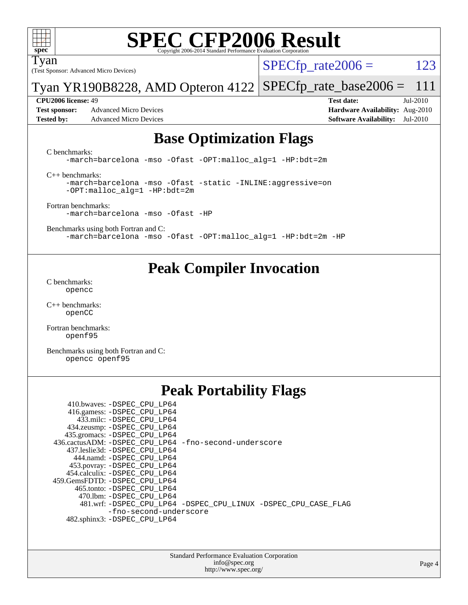

Tyan

## **[SPEC CFP2006 Result](http://www.spec.org/auto/cpu2006/Docs/result-fields.html#SPECCFP2006Result)**

 $SPECTp_rate2006 = 123$ 

Tyan YR190B8228, AMD Opteron 4122 [SPECfp\\_rate\\_base2006 =](http://www.spec.org/auto/cpu2006/Docs/result-fields.html#SPECfpratebase2006) 111

**[Test sponsor:](http://www.spec.org/auto/cpu2006/Docs/result-fields.html#Testsponsor)** Advanced Micro Devices **Advanced Micro Devices [Hardware Availability:](http://www.spec.org/auto/cpu2006/Docs/result-fields.html#HardwareAvailability)** Aug-2010 **[Tested by:](http://www.spec.org/auto/cpu2006/Docs/result-fields.html#Testedby)** Advanced Micro Devices **[Software Availability:](http://www.spec.org/auto/cpu2006/Docs/result-fields.html#SoftwareAvailability)** Jul-2010

(Test Sponsor: Advanced Micro Devices)

**[CPU2006 license:](http://www.spec.org/auto/cpu2006/Docs/result-fields.html#CPU2006license)** 49 **[Test date:](http://www.spec.org/auto/cpu2006/Docs/result-fields.html#Testdate)** Jul-2010

#### **[Base Optimization Flags](http://www.spec.org/auto/cpu2006/Docs/result-fields.html#BaseOptimizationFlags)**

[C benchmarks](http://www.spec.org/auto/cpu2006/Docs/result-fields.html#Cbenchmarks):

[-march=barcelona](http://www.spec.org/cpu2006/results/res2010q3/cpu2006-20100816-12932.flags.html#user_CCbase_F-march_8ea39521cada96f307a04d0b8b9c6ffb) [-mso](http://www.spec.org/cpu2006/results/res2010q3/cpu2006-20100816-12932.flags.html#user_CCbase_F-mso) [-Ofast](http://www.spec.org/cpu2006/results/res2010q3/cpu2006-20100816-12932.flags.html#user_CCbase_F-Ofast) [-OPT:malloc\\_alg=1](http://www.spec.org/cpu2006/results/res2010q3/cpu2006-20100816-12932.flags.html#user_CCbase_F-OPT:malloc_algorithm_58733815edefaa612c2ed769b716daa0) [-HP:bdt=2m](http://www.spec.org/cpu2006/results/res2010q3/cpu2006-20100816-12932.flags.html#user_CCbase_F-HUGEPAGE_99eaea9f74400395f9f16774d1aed5d7)

[C++ benchmarks:](http://www.spec.org/auto/cpu2006/Docs/result-fields.html#CXXbenchmarks)

[-march=barcelona](http://www.spec.org/cpu2006/results/res2010q3/cpu2006-20100816-12932.flags.html#user_CXXbase_F-march_8ea39521cada96f307a04d0b8b9c6ffb) [-mso](http://www.spec.org/cpu2006/results/res2010q3/cpu2006-20100816-12932.flags.html#user_CXXbase_F-mso) [-Ofast](http://www.spec.org/cpu2006/results/res2010q3/cpu2006-20100816-12932.flags.html#user_CXXbase_F-Ofast) [-static](http://www.spec.org/cpu2006/results/res2010q3/cpu2006-20100816-12932.flags.html#user_CXXbase_F-static) [-INLINE:aggressive=on](http://www.spec.org/cpu2006/results/res2010q3/cpu2006-20100816-12932.flags.html#user_CXXbase_F-INLINE:aggressive_e14807c0a1e56a6a83cb25ab07c7ae8a) [-OPT:malloc\\_alg=1](http://www.spec.org/cpu2006/results/res2010q3/cpu2006-20100816-12932.flags.html#user_CXXbase_F-OPT:malloc_algorithm_58733815edefaa612c2ed769b716daa0) [-HP:bdt=2m](http://www.spec.org/cpu2006/results/res2010q3/cpu2006-20100816-12932.flags.html#user_CXXbase_F-HUGEPAGE_99eaea9f74400395f9f16774d1aed5d7)

[Fortran benchmarks](http://www.spec.org/auto/cpu2006/Docs/result-fields.html#Fortranbenchmarks): [-march=barcelona](http://www.spec.org/cpu2006/results/res2010q3/cpu2006-20100816-12932.flags.html#user_FCbase_F-march_8ea39521cada96f307a04d0b8b9c6ffb) [-mso](http://www.spec.org/cpu2006/results/res2010q3/cpu2006-20100816-12932.flags.html#user_FCbase_F-mso) [-Ofast](http://www.spec.org/cpu2006/results/res2010q3/cpu2006-20100816-12932.flags.html#user_FCbase_F-Ofast) [-HP](http://www.spec.org/cpu2006/results/res2010q3/cpu2006-20100816-12932.flags.html#user_FCbase_F-HUGEPAGE_5df7ddc958063186306345596c5e7dc3)

[Benchmarks using both Fortran and C](http://www.spec.org/auto/cpu2006/Docs/result-fields.html#BenchmarksusingbothFortranandC): [-march=barcelona](http://www.spec.org/cpu2006/results/res2010q3/cpu2006-20100816-12932.flags.html#user_CC_FCbase_F-march_8ea39521cada96f307a04d0b8b9c6ffb) [-mso](http://www.spec.org/cpu2006/results/res2010q3/cpu2006-20100816-12932.flags.html#user_CC_FCbase_F-mso) [-Ofast](http://www.spec.org/cpu2006/results/res2010q3/cpu2006-20100816-12932.flags.html#user_CC_FCbase_F-Ofast) [-OPT:malloc\\_alg=1](http://www.spec.org/cpu2006/results/res2010q3/cpu2006-20100816-12932.flags.html#user_CC_FCbase_F-OPT:malloc_algorithm_58733815edefaa612c2ed769b716daa0) [-HP:bdt=2m](http://www.spec.org/cpu2006/results/res2010q3/cpu2006-20100816-12932.flags.html#user_CC_FCbase_F-HUGEPAGE_99eaea9f74400395f9f16774d1aed5d7) [-HP](http://www.spec.org/cpu2006/results/res2010q3/cpu2006-20100816-12932.flags.html#user_CC_FCbase_F-HUGEPAGE_5df7ddc958063186306345596c5e7dc3)

### **[Peak Compiler Invocation](http://www.spec.org/auto/cpu2006/Docs/result-fields.html#PeakCompilerInvocation)**

[C benchmarks](http://www.spec.org/auto/cpu2006/Docs/result-fields.html#Cbenchmarks): [opencc](http://www.spec.org/cpu2006/results/res2010q3/cpu2006-20100816-12932.flags.html#user_CCpeak_Fopencc)

[C++ benchmarks:](http://www.spec.org/auto/cpu2006/Docs/result-fields.html#CXXbenchmarks) [openCC](http://www.spec.org/cpu2006/results/res2010q3/cpu2006-20100816-12932.flags.html#user_CXXpeak_FopenCC)

[Fortran benchmarks](http://www.spec.org/auto/cpu2006/Docs/result-fields.html#Fortranbenchmarks): [openf95](http://www.spec.org/cpu2006/results/res2010q3/cpu2006-20100816-12932.flags.html#user_FCpeak_Fopenf95)

[Benchmarks using both Fortran and C](http://www.spec.org/auto/cpu2006/Docs/result-fields.html#BenchmarksusingbothFortranandC): [opencc](http://www.spec.org/cpu2006/results/res2010q3/cpu2006-20100816-12932.flags.html#user_CC_FCpeak_Fopencc) [openf95](http://www.spec.org/cpu2006/results/res2010q3/cpu2006-20100816-12932.flags.html#user_CC_FCpeak_Fopenf95)

## **[Peak Portability Flags](http://www.spec.org/auto/cpu2006/Docs/result-fields.html#PeakPortabilityFlags)**

| 410.bwaves: -DSPEC CPU LP64                           |                                                                |
|-------------------------------------------------------|----------------------------------------------------------------|
| 416.gamess: -DSPEC_CPU_LP64                           |                                                                |
| 433.milc: -DSPEC CPU LP64                             |                                                                |
| 434.zeusmp: -DSPEC_CPU_LP64                           |                                                                |
| 435.gromacs: -DSPEC_CPU_LP64                          |                                                                |
| 436.cactusADM: -DSPEC CPU LP64 -fno-second-underscore |                                                                |
| 437.leslie3d: -DSPEC CPU LP64                         |                                                                |
| 444.namd: -DSPEC CPU LP64                             |                                                                |
| 453.povray: -DSPEC_CPU_LP64                           |                                                                |
| 454.calculix: - DSPEC CPU LP64                        |                                                                |
| 459.GemsFDTD: -DSPEC CPU LP64                         |                                                                |
| 465.tonto: - DSPEC CPU LP64                           |                                                                |
| 470.1bm: - DSPEC CPU LP64                             |                                                                |
|                                                       | 481.wrf: -DSPEC_CPU_LP64 -DSPEC_CPU_LINUX -DSPEC_CPU_CASE_FLAG |
| -fno-second-underscore                                |                                                                |
| 482.sphinx3: -DSPEC CPU LP64                          |                                                                |
|                                                       |                                                                |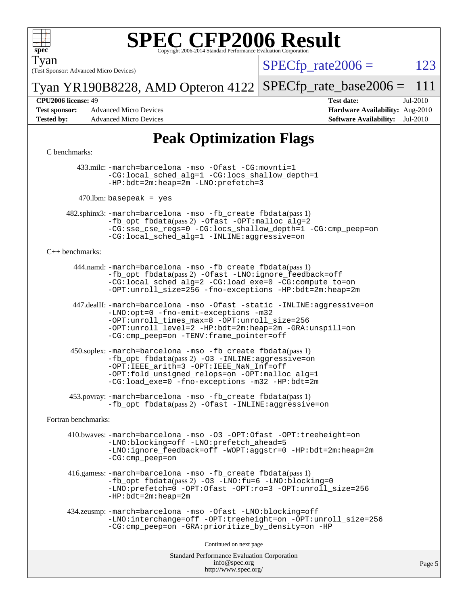

Tyan

# **[SPEC CFP2006 Result](http://www.spec.org/auto/cpu2006/Docs/result-fields.html#SPECCFP2006Result)**

(Test Sponsor: Advanced Micro Devices)

 $SPECTp\_rate2006 = 123$ 

Tyan YR190B8228, AMD Opteron 4122 [SPECfp\\_rate\\_base2006 =](http://www.spec.org/auto/cpu2006/Docs/result-fields.html#SPECfpratebase2006) 111

**[Test sponsor:](http://www.spec.org/auto/cpu2006/Docs/result-fields.html#Testsponsor)** Advanced Micro Devices **Advanced Micro Devices [Hardware Availability:](http://www.spec.org/auto/cpu2006/Docs/result-fields.html#HardwareAvailability)** Aug-2010 **[Tested by:](http://www.spec.org/auto/cpu2006/Docs/result-fields.html#Testedby)** Advanced Micro Devices **[Software Availability:](http://www.spec.org/auto/cpu2006/Docs/result-fields.html#SoftwareAvailability)** Jul-2010

**[CPU2006 license:](http://www.spec.org/auto/cpu2006/Docs/result-fields.html#CPU2006license)** 49 **[Test date:](http://www.spec.org/auto/cpu2006/Docs/result-fields.html#Testdate)** Jul-2010

## **[Peak Optimization Flags](http://www.spec.org/auto/cpu2006/Docs/result-fields.html#PeakOptimizationFlags)**

#### [C benchmarks](http://www.spec.org/auto/cpu2006/Docs/result-fields.html#Cbenchmarks):

 433.milc: [-march=barcelona](http://www.spec.org/cpu2006/results/res2010q3/cpu2006-20100816-12932.flags.html#user_peakCCLD433_milc_F-march_8ea39521cada96f307a04d0b8b9c6ffb) [-mso](http://www.spec.org/cpu2006/results/res2010q3/cpu2006-20100816-12932.flags.html#user_peakCCLD433_milc_F-mso) [-Ofast](http://www.spec.org/cpu2006/results/res2010q3/cpu2006-20100816-12932.flags.html#user_peakCOPTIMIZE433_milc_F-Ofast) [-CG:movnti=1](http://www.spec.org/cpu2006/results/res2010q3/cpu2006-20100816-12932.flags.html#user_peakCOPTIMIZE433_milc_F-CG:movnti_c5191dc1f6da57382570e339f0143b6b) [-CG:local\\_sched\\_alg=1](http://www.spec.org/cpu2006/results/res2010q3/cpu2006-20100816-12932.flags.html#user_peakCOPTIMIZE433_milc_F-CG:local_sched_alg_2175ca61f1a2717f1ec57b14995b9e7a) [-CG:locs\\_shallow\\_depth=1](http://www.spec.org/cpu2006/results/res2010q3/cpu2006-20100816-12932.flags.html#user_peakCOPTIMIZE433_milc_F-CG:locs_shallow_depth_ec0a53d3def1c53dcd5985fc16cc23f2) [-HP:bdt=2m:heap=2m](http://www.spec.org/cpu2006/results/res2010q3/cpu2006-20100816-12932.flags.html#user_peakCOPTIMIZE433_milc_F-HUGEPAGE_855e97383b49831f390a2af16fe7202f) [-LNO:prefetch=3](http://www.spec.org/cpu2006/results/res2010q3/cpu2006-20100816-12932.flags.html#user_peakCOPTIMIZE433_milc_F-LNO:prefetch_73b5a9400a8f80d6e23f06aa34f07c5f)

 $470$ .lbm: basepeak = yes

 482.sphinx3: [-march=barcelona](http://www.spec.org/cpu2006/results/res2010q3/cpu2006-20100816-12932.flags.html#user_peakCCLD482_sphinx3_F-march_8ea39521cada96f307a04d0b8b9c6ffb) [-mso](http://www.spec.org/cpu2006/results/res2010q3/cpu2006-20100816-12932.flags.html#user_peakCCLD482_sphinx3_F-mso) [-fb\\_create fbdata](http://www.spec.org/cpu2006/results/res2010q3/cpu2006-20100816-12932.flags.html#user_peakPASS1_CFLAGSPASS1_LDFLAGS482_sphinx3_F-fb_create_filename)(pass 1) [-fb\\_opt fbdata](http://www.spec.org/cpu2006/results/res2010q3/cpu2006-20100816-12932.flags.html#user_peakPASS2_CFLAGSPASS2_LDFLAGS482_sphinx3_F-fb_opt_filename)(pass 2) [-Ofast](http://www.spec.org/cpu2006/results/res2010q3/cpu2006-20100816-12932.flags.html#user_peakCOPTIMIZE482_sphinx3_F-Ofast) [-OPT:malloc\\_alg=2](http://www.spec.org/cpu2006/results/res2010q3/cpu2006-20100816-12932.flags.html#user_peakCOPTIMIZE482_sphinx3_F-OPT:malloc_algorithm_e62903d0840423b2a5cd674766328c33) [-CG:sse\\_cse\\_regs=0](http://www.spec.org/cpu2006/results/res2010q3/cpu2006-20100816-12932.flags.html#user_peakCOPTIMIZE482_sphinx3_F-CG:sse_cse_regs_7df8d7006fcaae90aa34e4c541216ae1) [-CG:locs\\_shallow\\_depth=1](http://www.spec.org/cpu2006/results/res2010q3/cpu2006-20100816-12932.flags.html#user_peakCOPTIMIZE482_sphinx3_F-CG:locs_shallow_depth_ec0a53d3def1c53dcd5985fc16cc23f2) [-CG:cmp\\_peep=on](http://www.spec.org/cpu2006/results/res2010q3/cpu2006-20100816-12932.flags.html#user_peakCOPTIMIZE482_sphinx3_F-CG:cmp_peep_ab90c979e95bee1f1f617a32622424ed) [-CG:local\\_sched\\_alg=1](http://www.spec.org/cpu2006/results/res2010q3/cpu2006-20100816-12932.flags.html#user_peakCOPTIMIZE482_sphinx3_F-CG:local_sched_alg_2175ca61f1a2717f1ec57b14995b9e7a) [-INLINE:aggressive=on](http://www.spec.org/cpu2006/results/res2010q3/cpu2006-20100816-12932.flags.html#user_peakCOPTIMIZE482_sphinx3_F-INLINE:aggressive_e14807c0a1e56a6a83cb25ab07c7ae8a)

#### [C++ benchmarks:](http://www.spec.org/auto/cpu2006/Docs/result-fields.html#CXXbenchmarks)

 444.namd: [-march=barcelona](http://www.spec.org/cpu2006/results/res2010q3/cpu2006-20100816-12932.flags.html#user_peakCXXLD444_namd_F-march_8ea39521cada96f307a04d0b8b9c6ffb) [-mso](http://www.spec.org/cpu2006/results/res2010q3/cpu2006-20100816-12932.flags.html#user_peakCXXLD444_namd_F-mso) [-fb\\_create fbdata](http://www.spec.org/cpu2006/results/res2010q3/cpu2006-20100816-12932.flags.html#user_peakPASS1_CXXFLAGSPASS1_LDFLAGS444_namd_F-fb_create_filename)(pass 1) [-fb\\_opt fbdata](http://www.spec.org/cpu2006/results/res2010q3/cpu2006-20100816-12932.flags.html#user_peakPASS2_CXXFLAGSPASS2_LDFLAGS444_namd_F-fb_opt_filename)(pass 2) [-Ofast](http://www.spec.org/cpu2006/results/res2010q3/cpu2006-20100816-12932.flags.html#user_peakCXXOPTIMIZE444_namd_F-Ofast) [-LNO:ignore\\_feedback=off](http://www.spec.org/cpu2006/results/res2010q3/cpu2006-20100816-12932.flags.html#user_peakCXXOPTIMIZE444_namd_F-LNO:ignore_feedback_1d6d06f39185b277a955c10dfd0a9a73) [-CG:local\\_sched\\_alg=2](http://www.spec.org/cpu2006/results/res2010q3/cpu2006-20100816-12932.flags.html#user_peakCXXOPTIMIZE444_namd_F-CG:local_sched_alg_7e9cde87db6e5e7117cdd873e1f958ca) [-CG:load\\_exe=0](http://www.spec.org/cpu2006/results/res2010q3/cpu2006-20100816-12932.flags.html#user_peakCXXOPTIMIZE444_namd_F-CG:load_exe_274d025dc8e91b4834366e9e44cd78e3) [-CG:compute\\_to=on](http://www.spec.org/cpu2006/results/res2010q3/cpu2006-20100816-12932.flags.html#user_peakCXXOPTIMIZE444_namd_F-CG:compute_to_596c30b399a79f0675b006ae34a185eb) [-OPT:unroll\\_size=256](http://www.spec.org/cpu2006/results/res2010q3/cpu2006-20100816-12932.flags.html#user_peakCXXOPTIMIZE444_namd_F-OPT:unroll_size_dfa492f42f50f580c3837c8b22d14f27) [-fno-exceptions](http://www.spec.org/cpu2006/results/res2010q3/cpu2006-20100816-12932.flags.html#user_peakCXXOPTIMIZE444_namd_F-fexceptions) [-HP:bdt=2m:heap=2m](http://www.spec.org/cpu2006/results/res2010q3/cpu2006-20100816-12932.flags.html#user_peakCXXOPTIMIZE444_namd_F-HUGEPAGE_855e97383b49831f390a2af16fe7202f)

 447.dealII: [-march=barcelona](http://www.spec.org/cpu2006/results/res2010q3/cpu2006-20100816-12932.flags.html#user_peakCXXLD447_dealII_F-march_8ea39521cada96f307a04d0b8b9c6ffb) [-mso](http://www.spec.org/cpu2006/results/res2010q3/cpu2006-20100816-12932.flags.html#user_peakCXXLD447_dealII_F-mso) [-Ofast](http://www.spec.org/cpu2006/results/res2010q3/cpu2006-20100816-12932.flags.html#user_peakCXXOPTIMIZE447_dealII_F-Ofast) [-static](http://www.spec.org/cpu2006/results/res2010q3/cpu2006-20100816-12932.flags.html#user_peakCXXOPTIMIZE447_dealII_F-static) [-INLINE:aggressive=on](http://www.spec.org/cpu2006/results/res2010q3/cpu2006-20100816-12932.flags.html#user_peakCXXOPTIMIZE447_dealII_F-INLINE:aggressive_e14807c0a1e56a6a83cb25ab07c7ae8a) [-LNO:opt=0](http://www.spec.org/cpu2006/results/res2010q3/cpu2006-20100816-12932.flags.html#user_peakCXXOPTIMIZE447_dealII_F-LNO:opt_b91e8b13d06f45039299c6496cc69a5f) [-fno-emit-exceptions](http://www.spec.org/cpu2006/results/res2010q3/cpu2006-20100816-12932.flags.html#user_peakCXXOPTIMIZE447_dealII_F-fno-emit-exceptions) [-m32](http://www.spec.org/cpu2006/results/res2010q3/cpu2006-20100816-12932.flags.html#user_peakCXXOPTIMIZE447_dealII_F-m32) [-OPT:unroll\\_times\\_max=8](http://www.spec.org/cpu2006/results/res2010q3/cpu2006-20100816-12932.flags.html#user_peakCXXOPTIMIZE447_dealII_F-OPT:unroll_times_max_1ad8852298ca2c36a68b2d007aae0e22) [-OPT:unroll\\_size=256](http://www.spec.org/cpu2006/results/res2010q3/cpu2006-20100816-12932.flags.html#user_peakCXXOPTIMIZE447_dealII_F-OPT:unroll_size_dfa492f42f50f580c3837c8b22d14f27) [-OPT:unroll\\_level=2](http://www.spec.org/cpu2006/results/res2010q3/cpu2006-20100816-12932.flags.html#user_peakCXXOPTIMIZE447_dealII_F-OPT:unroll_level_2cd767e66711a193dd7aad8ffe1e4d20) [-HP:bdt=2m:heap=2m](http://www.spec.org/cpu2006/results/res2010q3/cpu2006-20100816-12932.flags.html#user_peakCXXOPTIMIZE447_dealII_F-HUGEPAGE_855e97383b49831f390a2af16fe7202f) [-GRA:unspill=on](http://www.spec.org/cpu2006/results/res2010q3/cpu2006-20100816-12932.flags.html#user_peakCXXOPTIMIZE447_dealII_F-GRA:unspill_1a6c98043856890311246be72b057593) [-CG:cmp\\_peep=on](http://www.spec.org/cpu2006/results/res2010q3/cpu2006-20100816-12932.flags.html#user_peakCXXOPTIMIZE447_dealII_F-CG:cmp_peep_ab90c979e95bee1f1f617a32622424ed) [-TENV:frame\\_pointer=off](http://www.spec.org/cpu2006/results/res2010q3/cpu2006-20100816-12932.flags.html#user_peakCXXOPTIMIZE447_dealII_F-TENV:frame_pointer_2e92068e13bfe2cecb58286df627594f)

 450.soplex: [-march=barcelona](http://www.spec.org/cpu2006/results/res2010q3/cpu2006-20100816-12932.flags.html#user_peakCXXLD450_soplex_F-march_8ea39521cada96f307a04d0b8b9c6ffb) [-mso](http://www.spec.org/cpu2006/results/res2010q3/cpu2006-20100816-12932.flags.html#user_peakCXXLD450_soplex_F-mso) [-fb\\_create fbdata](http://www.spec.org/cpu2006/results/res2010q3/cpu2006-20100816-12932.flags.html#user_peakPASS1_CXXFLAGSPASS1_LDFLAGS450_soplex_F-fb_create_filename)(pass 1)  $-fb$  opt fbdata(pass 2) [-O3](http://www.spec.org/cpu2006/results/res2010q3/cpu2006-20100816-12932.flags.html#user_peakCXXOPTIMIZE450_soplex_F-O3) [-INLINE:aggressive=on](http://www.spec.org/cpu2006/results/res2010q3/cpu2006-20100816-12932.flags.html#user_peakCXXOPTIMIZE450_soplex_F-INLINE:aggressive_e14807c0a1e56a6a83cb25ab07c7ae8a) [-OPT:IEEE\\_arith=3](http://www.spec.org/cpu2006/results/res2010q3/cpu2006-20100816-12932.flags.html#user_peakCXXOPTIMIZE450_soplex_F-OPT:IEEE_arith_deed7f378bba536bb15e5525c2cfff5d) [-OPT:IEEE\\_NaN\\_Inf=off](http://www.spec.org/cpu2006/results/res2010q3/cpu2006-20100816-12932.flags.html#user_peakCXXOPTIMIZE450_soplex_F-OPT:IEEE_NaN_Inf_a80561cd0dc061d93d55cc50467065f5) [-OPT:fold\\_unsigned\\_relops=on](http://www.spec.org/cpu2006/results/res2010q3/cpu2006-20100816-12932.flags.html#user_peakCXXOPTIMIZE450_soplex_F-OPT:fold_unsigned_relops_3472896f4df6f05453f457c244d9ad64) [-OPT:malloc\\_alg=1](http://www.spec.org/cpu2006/results/res2010q3/cpu2006-20100816-12932.flags.html#user_peakCXXOPTIMIZE450_soplex_F-OPT:malloc_algorithm_58733815edefaa612c2ed769b716daa0) [-CG:load\\_exe=0](http://www.spec.org/cpu2006/results/res2010q3/cpu2006-20100816-12932.flags.html#user_peakCXXOPTIMIZE450_soplex_F-CG:load_exe_274d025dc8e91b4834366e9e44cd78e3) [-fno-exceptions](http://www.spec.org/cpu2006/results/res2010q3/cpu2006-20100816-12932.flags.html#user_peakCXXOPTIMIZE450_soplex_F-fexceptions) [-m32](http://www.spec.org/cpu2006/results/res2010q3/cpu2006-20100816-12932.flags.html#user_peakCXXOPTIMIZE450_soplex_F-m32) [-HP:bdt=2m](http://www.spec.org/cpu2006/results/res2010q3/cpu2006-20100816-12932.flags.html#user_peakCXXOPTIMIZE450_soplex_F-HUGEPAGE_99eaea9f74400395f9f16774d1aed5d7)

 453.povray: [-march=barcelona](http://www.spec.org/cpu2006/results/res2010q3/cpu2006-20100816-12932.flags.html#user_peakCXXLD453_povray_F-march_8ea39521cada96f307a04d0b8b9c6ffb) [-mso](http://www.spec.org/cpu2006/results/res2010q3/cpu2006-20100816-12932.flags.html#user_peakCXXLD453_povray_F-mso) [-fb\\_create fbdata](http://www.spec.org/cpu2006/results/res2010q3/cpu2006-20100816-12932.flags.html#user_peakPASS1_CXXFLAGSPASS1_LDFLAGS453_povray_F-fb_create_filename)(pass 1) -fb opt fbdata(pass 2) [-Ofast](http://www.spec.org/cpu2006/results/res2010q3/cpu2006-20100816-12932.flags.html#user_peakCXXOPTIMIZE453_povray_F-Ofast) [-INLINE:aggressive=on](http://www.spec.org/cpu2006/results/res2010q3/cpu2006-20100816-12932.flags.html#user_peakCXXOPTIMIZE453_povray_F-INLINE:aggressive_e14807c0a1e56a6a83cb25ab07c7ae8a)

[Fortran benchmarks](http://www.spec.org/auto/cpu2006/Docs/result-fields.html#Fortranbenchmarks):

 410.bwaves: [-march=barcelona](http://www.spec.org/cpu2006/results/res2010q3/cpu2006-20100816-12932.flags.html#user_peakFCLD410_bwaves_F-march_8ea39521cada96f307a04d0b8b9c6ffb) [-mso](http://www.spec.org/cpu2006/results/res2010q3/cpu2006-20100816-12932.flags.html#user_peakFCLD410_bwaves_F-mso) [-O3](http://www.spec.org/cpu2006/results/res2010q3/cpu2006-20100816-12932.flags.html#user_peakFOPTIMIZE410_bwaves_F-O3) [-OPT:Ofast](http://www.spec.org/cpu2006/results/res2010q3/cpu2006-20100816-12932.flags.html#user_peakFOPTIMIZE410_bwaves_F-OPT:Ofast) [-OPT:treeheight=on](http://www.spec.org/cpu2006/results/res2010q3/cpu2006-20100816-12932.flags.html#user_peakFOPTIMIZE410_bwaves_F-OPT:treeheight_cfc70e9aefb9f92101ba198ff7377f7c) [-LNO:blocking=off](http://www.spec.org/cpu2006/results/res2010q3/cpu2006-20100816-12932.flags.html#user_peakFOPTIMIZE410_bwaves_F-LNO:blocking_806f5758a3ec85ed57cd5625787129f2) [-LNO:prefetch\\_ahead=5](http://www.spec.org/cpu2006/results/res2010q3/cpu2006-20100816-12932.flags.html#user_peakFOPTIMIZE410_bwaves_F-LNO:prefetch_ahead_c59c70d489a430be6e6f849be2b84ce8) [-LNO:ignore\\_feedback=off](http://www.spec.org/cpu2006/results/res2010q3/cpu2006-20100816-12932.flags.html#user_peakFOPTIMIZE410_bwaves_F-LNO:ignore_feedback_1d6d06f39185b277a955c10dfd0a9a73) [-WOPT:aggstr=0](http://www.spec.org/cpu2006/results/res2010q3/cpu2006-20100816-12932.flags.html#user_peakFOPTIMIZE410_bwaves_F-WOPT:aggstr_e9f678663e612582e440992a3901d0b4) [-HP:bdt=2m:heap=2m](http://www.spec.org/cpu2006/results/res2010q3/cpu2006-20100816-12932.flags.html#user_peakFOPTIMIZE410_bwaves_F-HUGEPAGE_855e97383b49831f390a2af16fe7202f) [-CG:cmp\\_peep=on](http://www.spec.org/cpu2006/results/res2010q3/cpu2006-20100816-12932.flags.html#user_peakFOPTIMIZE410_bwaves_F-CG:cmp_peep_ab90c979e95bee1f1f617a32622424ed)

 416.gamess: [-march=barcelona](http://www.spec.org/cpu2006/results/res2010q3/cpu2006-20100816-12932.flags.html#user_peakFCLD416_gamess_F-march_8ea39521cada96f307a04d0b8b9c6ffb) [-mso](http://www.spec.org/cpu2006/results/res2010q3/cpu2006-20100816-12932.flags.html#user_peakFCLD416_gamess_F-mso) [-fb\\_create fbdata](http://www.spec.org/cpu2006/results/res2010q3/cpu2006-20100816-12932.flags.html#user_peakPASS1_FFLAGSPASS1_LDFLAGS416_gamess_F-fb_create_filename)(pass 1) [-fb\\_opt fbdata](http://www.spec.org/cpu2006/results/res2010q3/cpu2006-20100816-12932.flags.html#user_peakPASS2_FFLAGSPASS2_LDFLAGS416_gamess_F-fb_opt_filename)(pass 2) [-O3](http://www.spec.org/cpu2006/results/res2010q3/cpu2006-20100816-12932.flags.html#user_peakFOPTIMIZE416_gamess_F-O3) [-LNO:fu=6](http://www.spec.org/cpu2006/results/res2010q3/cpu2006-20100816-12932.flags.html#user_peakFOPTIMIZE416_gamess_F-LNO:full_unroll_3286c2d175e5cd3c391f9ebb1917057c) [-LNO:blocking=0](http://www.spec.org/cpu2006/results/res2010q3/cpu2006-20100816-12932.flags.html#user_peakFOPTIMIZE416_gamess_F-LNO:blocking_f05bf6a7a6c1d0fdc72c448778ff5994) [-LNO:prefetch=0](http://www.spec.org/cpu2006/results/res2010q3/cpu2006-20100816-12932.flags.html#user_peakFOPTIMIZE416_gamess_F-LNO:prefetch_697fbd9f9feab3edac5397fc7beec995) [-OPT:Ofast](http://www.spec.org/cpu2006/results/res2010q3/cpu2006-20100816-12932.flags.html#user_peakFOPTIMIZE416_gamess_F-OPT:Ofast) [-OPT:ro=3](http://www.spec.org/cpu2006/results/res2010q3/cpu2006-20100816-12932.flags.html#user_peakFOPTIMIZE416_gamess_F-OPT:ro_df424ac2b688fef46f512566ef2e1c44) [-OPT:unroll\\_size=256](http://www.spec.org/cpu2006/results/res2010q3/cpu2006-20100816-12932.flags.html#user_peakFOPTIMIZE416_gamess_F-OPT:unroll_size_dfa492f42f50f580c3837c8b22d14f27) [-HP:bdt=2m:heap=2m](http://www.spec.org/cpu2006/results/res2010q3/cpu2006-20100816-12932.flags.html#user_peakFOPTIMIZE416_gamess_F-HUGEPAGE_855e97383b49831f390a2af16fe7202f)

```
 434.zeusmp: -march=barcelona -mso -Ofast -LNO:blocking=off
   -LNO:interchange=off -OPT:treeheight=on -OPT:unroll_size=256
   -CG:cmp_peep=on -GRA:prioritize_by_density=on -HP
```
Continued on next page